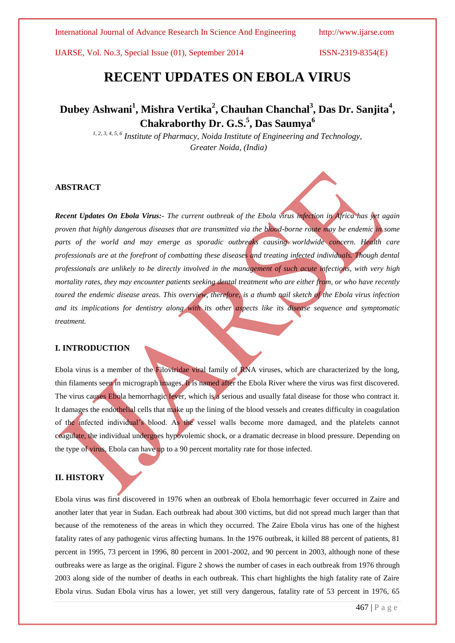International Journal of Advance Research In Science And Engineering http://www.ijarse.com

IJARSE, Vol. No.3, Special Issue (01), September 2014 ISSN-2319-8354(E)

# **RECENT UPDATES ON EBOLA VIRUS**

# **Dubey Ashwani<sup>1</sup> , Mishra Vertika<sup>2</sup> , Chauhan Chanchal<sup>3</sup> , Das Dr. Sanjita<sup>4</sup> , Chakraborthy Dr. G.S.<sup>5</sup> , Das Saumya<sup>6</sup>**

*1, 2, 3, 4, 5, 6 Institute of Pharmacy, Noida Institute of Engineering and Technology, Greater Noida, (India)*

# **ABSTRACT**

*Recent Updates On Ebola Virus:- The current outbreak of the Ebola virus infection in Africa has yet again proven that highly dangerous diseases that are transmitted via the blood-borne route may be endemic in some*  parts of the world and may emerge as sporadic outbreaks causing worldwide concern. Health care *professionals are at the forefront of combatting these diseases and treating infected individuals. Though dental professionals are unlikely to be directly involved in the management of such acute infections, with very high mortality rates, they may encounter patients seeking dental treatment who are either from, or who have recently toured the endemic disease areas. This overview, therefore, is a thumb nail sketch of the Ebola virus infection and its implications for dentistry along with its other aspects like its disease sequence and symptomatic treatment.*

# **I. INTRODUCTION**

Ebola virus is a member of the Filoviridae viral family of RNA viruses, which are characterized by the long, thin filaments seen in micrograph images. It is named after the Ebola River where the virus was first discovered. The virus causes Ebola hemorrhagic fever, which is a serious and usually fatal disease for those who contract it. It damages the endothelial cells that make up the lining of the blood vessels and creates difficulty in coagulation of the infected individual's blood. As the vessel walls become more damaged, and the platelets cannot coagulate, the individual undergoes hypovolemic shock, or a dramatic decrease in blood pressure. Depending on the type of virus, Ebola can have up to a 90 percent mortality rate for those infected.

# **II. HISTORY**

Ebola virus was first discovered in 1976 when an outbreak of Ebola hemorrhagic fever occurred in Zaire and another later that year in Sudan. Each outbreak had about 300 victims, but did not spread much larger than that because of the remoteness of the areas in which they occurred. The Zaire Ebola virus has one of the highest fatality rates of any pathogenic virus affecting humans. In the 1976 outbreak, it killed 88 percent of patients, 81 percent in 1995, 73 percent in 1996, 80 percent in 2001-2002, and 90 percent in 2003, although none of these outbreaks were as large as the original. Figure 2 shows the number of cases in each outbreak from 1976 through 2003 along side of the number of deaths in each outbreak. This chart highlights the high fatality rate of Zaire Ebola virus. Sudan Ebola virus has a lower, yet still very dangerous, fatality rate of 53 percent in 1976, 65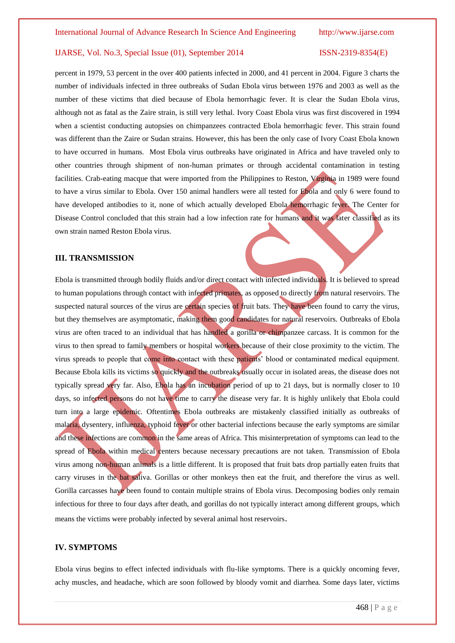percent in 1979, 53 percent in the over 400 patients infected in 2000, and 41 percent in 2004. Figure 3 charts the number of individuals infected in three outbreaks of Sudan Ebola virus between 1976 and 2003 as well as the number of these victims that died because of Ebola hemorrhagic fever. It is clear the Sudan Ebola virus, although not as fatal as the Zaire strain, is still very lethal. Ivory Coast Ebola virus was first discovered in 1994 when a scientist conducting autopsies on chimpanzees contracted Ebola hemorrhagic fever. This strain found was different than the Zaire or Sudan strains. However, this has been the only case of Ivory Coast Ebola known to have occurred in humans. Most Ebola virus outbreaks have originated in Africa and have traveled only to other countries through shipment of non-human primates or through accidental contamination in testing facilities. Crab-eating macque that were imported from the Philippines to Reston, Virginia in 1989 were found to have a virus similar to Ebola. Over 150 animal handlers were all tested for Ebola and only 6 were found to have developed antibodies to it, none of which actually developed Ebola hemorrhagic fever. The Center for Disease Control concluded that this strain had a low infection rate for humans and it was later classified as its own strain named Reston Ebola virus.

### **III. TRANSMISSION**

Ebola is transmitted through bodily fluids and/or direct contact with infected individuals. It is believed to spread to human populations through contact with infected primates, as opposed to directly from natural reservoirs. The suspected natural sources of the virus are certain species of fruit bats. They have been found to carry the virus, but they themselves are asymptomatic, making them good candidates for natural reservoirs. Outbreaks of Ebola virus are often traced to an individual that has handled a gorilla or chimpanzee carcass. It is common for the virus to then spread to family members or hospital workers because of their close proximity to the victim. The virus spreads to people that come into contact with these patients' blood or contaminated medical equipment. Because Ebola kills its victims so quickly and the outbreaks usually occur in isolated areas, the disease does not typically spread very far. Also, Ebola has an incubation period of up to 21 days, but is normally closer to 10 days, so infected persons do not have time to carry the disease very far. It is highly unlikely that Ebola could turn into a large epidemic. Oftentimes Ebola outbreaks are mistakenly classified initially as outbreaks of malaria, dysentery, influenza, typhoid fever or other bacterial infections because the early symptoms are similar and these infections are common in the same areas of Africa. This misinterpretation of symptoms can lead to the spread of Ebola within medical centers because necessary precautions are not taken. Transmission of Ebola virus among non-human animals is a little different. It is proposed that fruit bats drop partially eaten fruits that carry viruses in the bat saliva. Gorillas or other monkeys then eat the fruit, and therefore the virus as well. Gorilla carcasses have been found to contain multiple strains of Ebola virus. Decomposing bodies only remain infectious for three to four days after death, and gorillas do not typically interact among different groups, which means the victims were probably infected by several animal host reservoirs.

### **IV. SYMPTOMS**

Ebola virus begins to effect infected individuals with flu-like symptoms. There is a quickly oncoming fever, achy muscles, and headache, which are soon followed by bloody vomit and diarrhea. Some days later, victims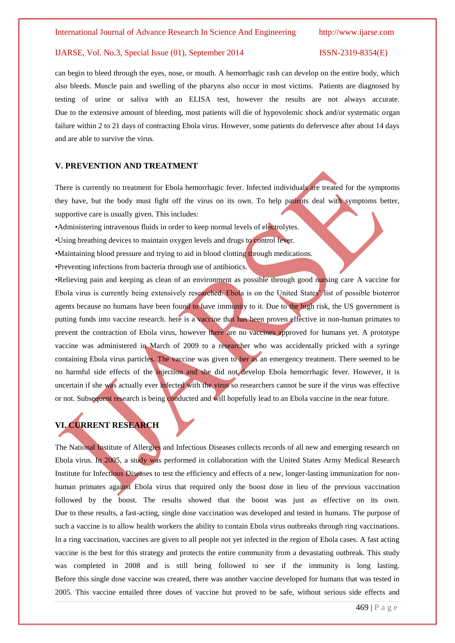can begin to bleed through the eyes, nose, or mouth. A hemorrhagic rash can develop on the entire body, which also bleeds. Muscle pain and swelling of the pharynx also occur in most victims. Patients are diagnosed by testing of urine or saliva with an ELISA test, however the results are not always accurate. Due to the extensive amount of bleeding, most patients will die of hypovolemic shock and/or systematic organ failure within 2 to 21 days of contracting Ebola virus. However, some patients do defervesce after about 14 days and are able to survive the virus.

### **V. PREVENTION AND TREATMENT**

There is currently no treatment for Ebola hemorrhagic fever. Infected individuals are treated for the symptoms they have, but the body must fight off the virus on its own. To help patients deal with symptoms better, supportive care is usually given. This includes:

•Administering intravenous fluids in order to keep normal levels of electrolytes.

- •Using breathing devices to maintain oxygen levels and drugs to control fever.
- •Maintaining blood pressure and trying to aid in blood clotting through medications.

•Preventing infections from bacteria through use of antibiotics.

•Relieving pain and keeping as clean of an environment as possible through good nursing care A vaccine for Ebola virus is currently being extensively researched. Ebola is on the United States' list of possible bioterror agents because no humans have been found to have immunity to it. Due to the high risk, the US government is putting funds into vaccine research. here is a vaccine that has been proven effective in non-human primates to prevent the contraction of Ebola virus, however there are no vaccines approved for humans yet. A prototype vaccine was administered in March of 2009 to a researcher who was accidentally pricked with a syringe containing Ebola virus particles. The vaccine was given to her as an emergency treatment. There seemed to be no harmful side effects of the injection and she did not develop Ebola hemorrhagic fever. However, it is uncertain if she was actually ever infected with the virus so researchers cannot be sure if the virus was effective or not. Subsequent research is being conducted and will hopefully lead to an Ebola vaccine in the near future.

# **VI. CURRENT RESEARCH**

The National Institute of Allergies and Infectious Diseases collects records of all new and emerging research on Ebola virus. In 2005, a study was performed in collaboration with the United States Army Medical Research Institute for Infectious Diseases to test the efficiency and effects of a new, longer-lasting immunization for nonhuman primates against Ebola virus that required only the boost dose in lieu of the previous vaccination followed by the boost. The results showed that the boost was just as effective on its own. Due to these results, a fast-acting, single dose vaccination was developed and tested in humans. The purpose of such a vaccine is to allow health workers the ability to contain Ebola virus outbreaks through ring vaccinations. In a ring vaccination, vaccines are given to all people not yet infected in the region of Ebola cases. A fast acting vaccine is the best for this strategy and protects the entire community from a devastating outbreak. This study was completed in 2008 and is still being followed to see if the immunity is long lasting. Before this single dose vaccine was created, there was another vaccine developed for humans that was tested in 2005. This vaccine entailed three doses of vaccine but proved to be safe, without serious side effects and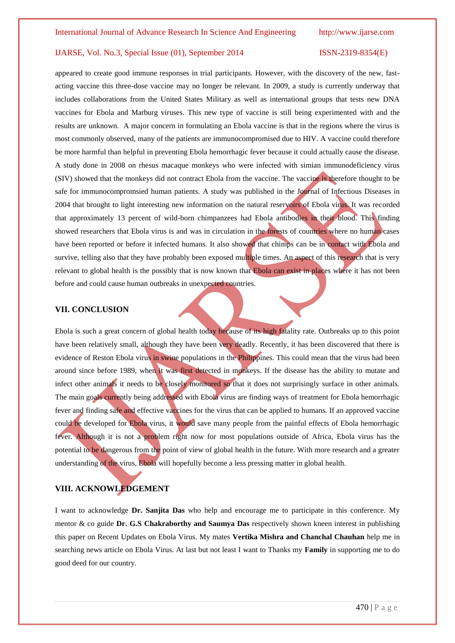appeared to create good immune responses in trial participants. However, with the discovery of the new, fastacting vaccine this three-dose vaccine may no longer be relevant. In 2009, a study is currently underway that includes collaborations from the United States Military as well as international groups that tests new DNA vaccines for Ebola and Marburg viruses. This new type of vaccine is still being experimented with and the results are unknown. A major concern in formulating an Ebola vaccine is that in the regions where the virus is most commonly observed, many of the patients are immunocompromised due to HIV. A vaccine could therefore be more harmful than helpful in preventing Ebola hemorrhagic fever because it could actually cause the disease. A study done in 2008 on rhesus macaque monkeys who were infected with simian immunodeficiency virus (SIV) showed that the monkeys did not contract Ebola from the vaccine. The vaccine is therefore thought to be safe for immunocompromsied human patients. A study was published in the Journal of Infectious Diseases in 2004 that brought to light interesting new information on the natural reservoirs of Ebola virus. It was recorded that approximately 13 percent of wild-born chimpanzees had Ebola antibodies in their blood. This finding showed researchers that Ebola virus is and was in circulation in the forests of countries where no human cases have been reported or before it infected humans. It also showed that chimps can be in contact with Ebola and survive, telling also that they have probably been exposed multiple times. An aspect of this research that is very relevant to global health is the possibly that is now known that Ebola can exist in places where it has not been before and could cause human outbreaks in unexpected countries.

# **VII. CONCLUSION**

Ebola is such a great concern of global health today because of its high fatality rate. Outbreaks up to this point have been relatively small, although they have been very deadly. Recently, it has been discovered that there is evidence of Reston Ebola virus in swine populations in the Philippines. This could mean that the virus had been around since before 1989, when it was first detected in monkeys. If the disease has the ability to mutate and infect other animals it needs to be closely monitored so that it does not surprisingly surface in other animals. The main goals currently being addressed with Ebola virus are finding ways of treatment for Ebola hemorrhagic fever and finding safe and effective vaccines for the virus that can be applied to humans. If an approved vaccine could be developed for Ebola virus, it would save many people from the painful effects of Ebola hemorrhagic fever. Although it is not a problem right now for most populations outside of Africa, Ebola virus has the potential to be dangerous from the point of view of global health in the future. With more research and a greater understanding of the virus, Ebola will hopefully become a less pressing matter in global health.

## **VIII. ACKNOWLEDGEMENT**

I want to acknowledge **Dr. Sanjita Das** who help and encourage me to participate in this conference. My mentor & co guide **Dr. G.S Chakraborthy and Saumya Das** respectively shown kneen interest in publishing this paper on Recent Updates on Ebola Virus. My mates **Vertika Mishra and Chanchal Chauhan** help me in searching news article on Ebola Virus. At last but not least I want to Thanks my **Family** in supporting me to do good deed for our country.